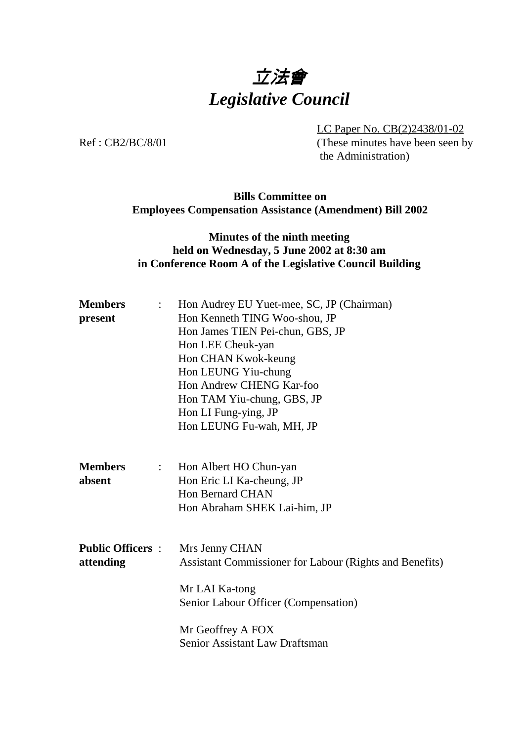# 立法會 *Legislative Council*

LC Paper No. CB(2)2438/01-02 Ref : CB2/BC/8/01 (These minutes have been seen by the Administration)

#### **Bills Committee on Employees Compensation Assistance (Amendment) Bill 2002**

#### **Minutes of the ninth meeting held on Wednesday, 5 June 2002 at 8:30 am in Conference Room A of the Legislative Council Building**

| <b>Members</b><br>$\mathbb{R}^{\mathbb{Z}}$ | Hon Audrey EU Yuet-mee, SC, JP (Chairman)                                 |
|---------------------------------------------|---------------------------------------------------------------------------|
| present                                     | Hon Kenneth TING Woo-shou, JP                                             |
|                                             | Hon James TIEN Pei-chun, GBS, JP                                          |
|                                             | Hon LEE Cheuk-yan                                                         |
|                                             | Hon CHAN Kwok-keung                                                       |
|                                             | Hon LEUNG Yiu-chung                                                       |
|                                             | Hon Andrew CHENG Kar-foo                                                  |
|                                             | Hon TAM Yiu-chung, GBS, JP                                                |
|                                             | Hon LI Fung-ying, JP                                                      |
|                                             | Hon LEUNG Fu-wah, MH, JP                                                  |
|                                             |                                                                           |
| <b>Members</b><br>$\mathbb{R}^{\mathbb{Z}}$ | Hon Albert HO Chun-yan                                                    |
| absent                                      | Hon Eric LI Ka-cheung, JP                                                 |
|                                             | <b>Hon Bernard CHAN</b>                                                   |
|                                             | Hon Abraham SHEK Lai-him, JP                                              |
| <b>Public Officers :</b>                    |                                                                           |
| attending                                   | Mrs Jenny CHAN<br>Assistant Commissioner for Labour (Rights and Benefits) |
|                                             |                                                                           |
|                                             | Mr LAI Ka-tong                                                            |
|                                             | Senior Labour Officer (Compensation)                                      |
|                                             | Mr Geoffrey A FOX                                                         |
|                                             | Senior Assistant Law Draftsman                                            |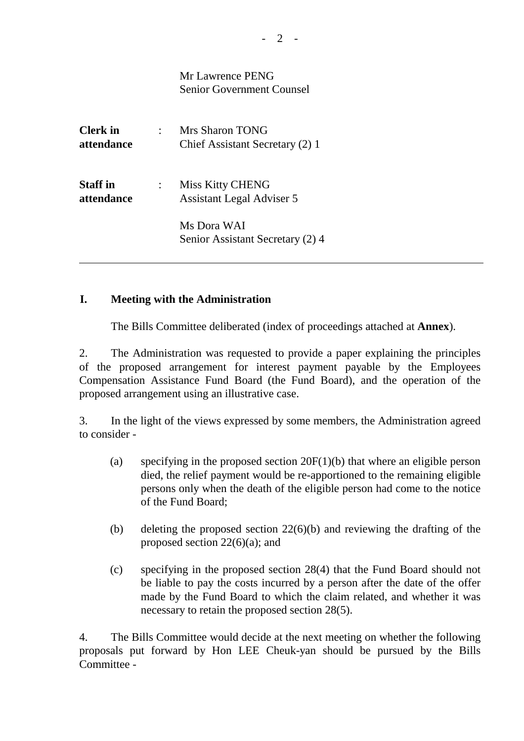|                               | Mr Lawrence PENG<br><b>Senior Government Counsel</b>        |
|-------------------------------|-------------------------------------------------------------|
| <b>Clerk</b> in<br>attendance | Mrs Sharon TONG<br>Chief Assistant Secretary (2) 1          |
| <b>Staff</b> in<br>attendance | <b>Miss Kitty CHENG</b><br><b>Assistant Legal Adviser 5</b> |
|                               | Ms Dora WAI<br>Senior Assistant Secretary (2) 4             |

#### **I. Meeting with the Administration**

The Bills Committee deliberated (index of proceedings attached at **Annex**).

2. The Administration was requested to provide a paper explaining the principles of the proposed arrangement for interest payment payable by the Employees Compensation Assistance Fund Board (the Fund Board), and the operation of the proposed arrangement using an illustrative case.

3. In the light of the views expressed by some members, the Administration agreed to consider -

- (a) specifying in the proposed section 20F(1)(b) that where an eligible person died, the relief payment would be re-apportioned to the remaining eligible persons only when the death of the eligible person had come to the notice of the Fund Board;
- (b) deleting the proposed section 22(6)(b) and reviewing the drafting of the proposed section 22(6)(a); and
- (c) specifying in the proposed section 28(4) that the Fund Board should not be liable to pay the costs incurred by a person after the date of the offer made by the Fund Board to which the claim related, and whether it was necessary to retain the proposed section 28(5).

4. The Bills Committee would decide at the next meeting on whether the following proposals put forward by Hon LEE Cheuk-yan should be pursued by the Bills Committee -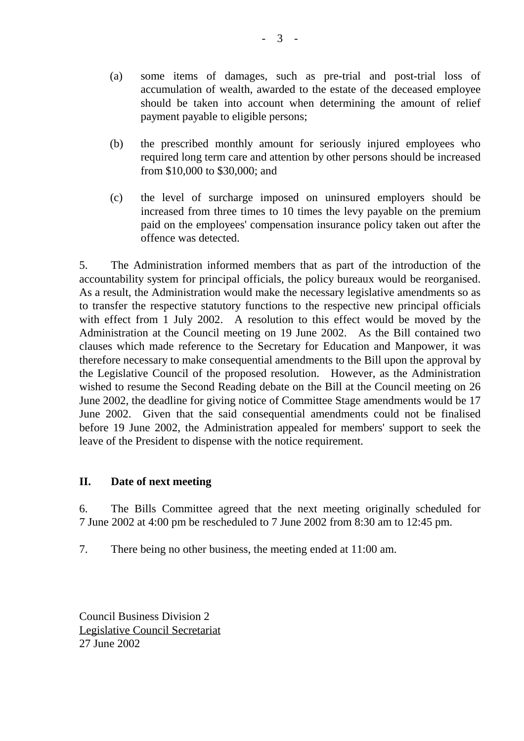- (a) some items of damages, such as pre-trial and post-trial loss of accumulation of wealth, awarded to the estate of the deceased employee should be taken into account when determining the amount of relief payment payable to eligible persons;
- (b) the prescribed monthly amount for seriously injured employees who required long term care and attention by other persons should be increased from \$10,000 to \$30,000; and
- (c) the level of surcharge imposed on uninsured employers should be increased from three times to 10 times the levy payable on the premium paid on the employees' compensation insurance policy taken out after the offence was detected.

5. The Administration informed members that as part of the introduction of the accountability system for principal officials, the policy bureaux would be reorganised. As a result, the Administration would make the necessary legislative amendments so as to transfer the respective statutory functions to the respective new principal officials with effect from 1 July 2002. A resolution to this effect would be moved by the Administration at the Council meeting on 19 June 2002. As the Bill contained two clauses which made reference to the Secretary for Education and Manpower, it was therefore necessary to make consequential amendments to the Bill upon the approval by the Legislative Council of the proposed resolution. However, as the Administration wished to resume the Second Reading debate on the Bill at the Council meeting on 26 June 2002, the deadline for giving notice of Committee Stage amendments would be 17 June 2002. Given that the said consequential amendments could not be finalised before 19 June 2002, the Administration appealed for members' support to seek the leave of the President to dispense with the notice requirement.

#### **II. Date of next meeting**

6. The Bills Committee agreed that the next meeting originally scheduled for 7 June 2002 at 4:00 pm be rescheduled to 7 June 2002 from 8:30 am to 12:45 pm.

7. There being no other business, the meeting ended at 11:00 am.

Council Business Division 2 Legislative Council Secretariat 27 June 2002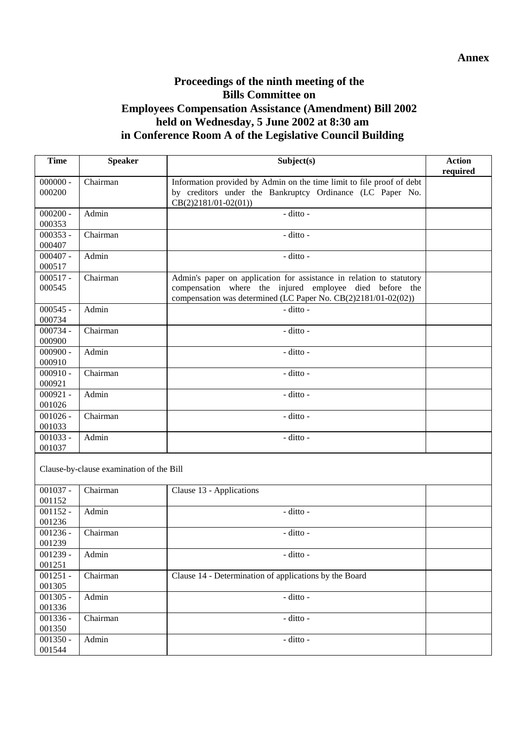### **Proceedings of the ninth meeting of the Bills Committee on Employees Compensation Assistance (Amendment) Bill 2002 held on Wednesday, 5 June 2002 at 8:30 am in Conference Room A of the Legislative Council Building**

| <b>Time</b>          | <b>Speaker</b>                           | Subject(s)                                                                                                                         | <b>Action</b><br>required |
|----------------------|------------------------------------------|------------------------------------------------------------------------------------------------------------------------------------|---------------------------|
| $000000 -$<br>000200 | Chairman                                 | Information provided by Admin on the time limit to file proof of debt<br>by creditors under the Bankruptcy Ordinance (LC Paper No. |                           |
|                      |                                          | $CB(2)2181/01-02(01))$                                                                                                             |                           |
| $000200 -$           | Admin                                    | - ditto -                                                                                                                          |                           |
| 000353               |                                          |                                                                                                                                    |                           |
| $000353 -$           | Chairman                                 | - ditto -                                                                                                                          |                           |
| 000407               |                                          |                                                                                                                                    |                           |
| $000407 -$           | Admin                                    | - ditto -                                                                                                                          |                           |
| 000517               |                                          |                                                                                                                                    |                           |
| $000517 -$<br>000545 | Chairman                                 | Admin's paper on application for assistance in relation to statutory<br>compensation where the injured employee died before the    |                           |
|                      |                                          | compensation was determined (LC Paper No. CB(2)2181/01-02(02))                                                                     |                           |
| $000545 -$           | Admin                                    | - ditto -                                                                                                                          |                           |
| 000734               |                                          |                                                                                                                                    |                           |
| 000734 -             | Chairman                                 | - ditto -                                                                                                                          |                           |
| 000900               |                                          |                                                                                                                                    |                           |
| $000900 -$           | Admin                                    | - ditto -                                                                                                                          |                           |
| 000910               |                                          |                                                                                                                                    |                           |
| $000910 -$           | Chairman                                 | - ditto -                                                                                                                          |                           |
| 000921               |                                          |                                                                                                                                    |                           |
| $000921 -$           | Admin                                    | - ditto -                                                                                                                          |                           |
| 001026               |                                          |                                                                                                                                    |                           |
| $001026 -$           | Chairman                                 | - ditto -                                                                                                                          |                           |
| 001033               |                                          |                                                                                                                                    |                           |
| $001033 -$           | Admin                                    | - ditto -                                                                                                                          |                           |
| 001037               |                                          |                                                                                                                                    |                           |
|                      | Clause-by-clause examination of the Bill |                                                                                                                                    |                           |
| $001037 -$           | Chairman                                 | Clause 13 - Applications                                                                                                           |                           |
| 001152               |                                          |                                                                                                                                    |                           |
| $001152 -$           | Admin                                    | - ditto -                                                                                                                          |                           |
| 001236               |                                          |                                                                                                                                    |                           |
| $001236 -$           | Chairman                                 | - ditto -                                                                                                                          |                           |
| 001239               |                                          |                                                                                                                                    |                           |
| 001239 -             | Admin                                    | - ditto -                                                                                                                          |                           |
| 001251               |                                          |                                                                                                                                    |                           |
| $001251 -$           | Chairman                                 | Clause 14 - Determination of applications by the Board                                                                             |                           |
| 001305               |                                          |                                                                                                                                    |                           |
| $001305 -$           | Admin                                    | - ditto -                                                                                                                          |                           |
| 001336<br>$001336 -$ |                                          |                                                                                                                                    |                           |
| 001350               | Chairman                                 | - ditto -                                                                                                                          |                           |
| $001350 -$           | Admin                                    | - ditto -                                                                                                                          |                           |
| 001544               |                                          |                                                                                                                                    |                           |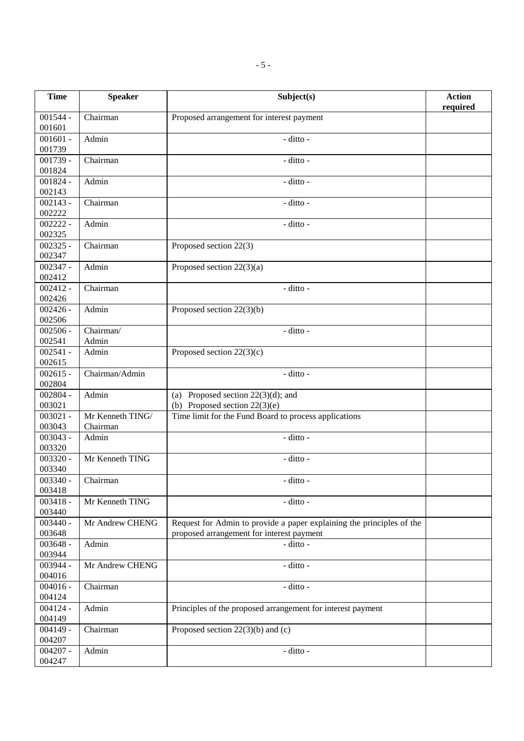| <b>Time</b>                     | <b>Speaker</b>               | Subject(s)                                                                                                         | <b>Action</b><br>required |
|---------------------------------|------------------------------|--------------------------------------------------------------------------------------------------------------------|---------------------------|
| $001544 -$<br>001601            | Chairman                     | Proposed arrangement for interest payment                                                                          |                           |
| $001601 -$<br>001739            | Admin                        | - ditto -                                                                                                          |                           |
| $001739 -$<br>001824            | Chairman                     | - ditto -                                                                                                          |                           |
| $001824 -$<br>002143            | Admin                        | - ditto -                                                                                                          |                           |
| $002143 -$<br>002222            | Chairman                     | - ditto -                                                                                                          |                           |
| $002222 -$<br>002325            | Admin                        | - ditto -                                                                                                          |                           |
| $002325 -$<br>002347            | Chairman                     | Proposed section 22(3)                                                                                             |                           |
| $002347 -$<br>002412            | Admin                        | Proposed section $22(3)(a)$                                                                                        |                           |
| $002412 -$<br>002426            | Chairman                     | - ditto -                                                                                                          |                           |
| $002426 -$<br>002506            | Admin                        | Proposed section $22(3)(b)$                                                                                        |                           |
| $002506 -$<br>002541            | Chairman/<br>Admin           | - ditto -                                                                                                          |                           |
| $\overline{002541}$ -<br>002615 | Admin                        | Proposed section $22(3)(c)$                                                                                        |                           |
| $002615 -$<br>002804            | Chairman/Admin               | - ditto -                                                                                                          |                           |
| $002804 -$<br>003021            | Admin                        | (a) Proposed section $22(3)(d)$ ; and<br>(b) Proposed section $22(3)(e)$                                           |                           |
| $003021 -$<br>003043            | Mr Kenneth TING/<br>Chairman | Time limit for the Fund Board to process applications                                                              |                           |
| $003043 -$<br>003320            | Admin                        | - ditto -                                                                                                          |                           |
| $003320 -$<br>003340            | Mr Kenneth TING              | - ditto -                                                                                                          |                           |
| $003340 -$<br>003418            | Chairman                     | - ditto -                                                                                                          |                           |
| $003418 -$<br>003440            | Mr Kenneth TING              | - ditto -                                                                                                          |                           |
| $003440 -$<br>003648            | Mr Andrew CHENG              | Request for Admin to provide a paper explaining the principles of the<br>proposed arrangement for interest payment |                           |
| $003648 -$<br>003944            | Admin                        | - ditto -                                                                                                          |                           |
| 003944 -<br>004016              | Mr Andrew CHENG              | - ditto -                                                                                                          |                           |
| $004016 -$<br>004124            | Chairman                     | - ditto -                                                                                                          |                           |
| $004124 -$<br>004149            | Admin                        | Principles of the proposed arrangement for interest payment                                                        |                           |
| $004149 -$<br>004207            | Chairman                     | Proposed section $22(3)(b)$ and (c)                                                                                |                           |
| $004207 -$<br>004247            | Admin                        | - ditto -                                                                                                          |                           |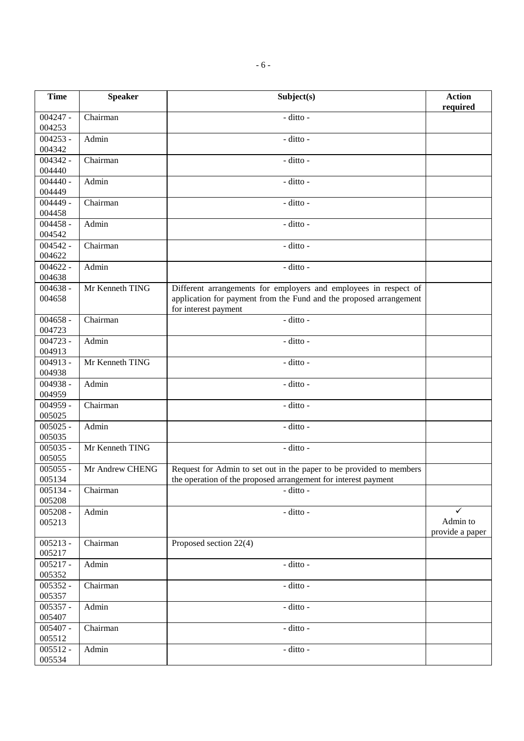| <b>Time</b>          | <b>Speaker</b>  | Subject(s)                                                                                                                                                     | <b>Action</b><br>required        |
|----------------------|-----------------|----------------------------------------------------------------------------------------------------------------------------------------------------------------|----------------------------------|
| $004247 -$<br>004253 | Chairman        | - ditto -                                                                                                                                                      |                                  |
| $004253 -$<br>004342 | Admin           | - ditto -                                                                                                                                                      |                                  |
| $004342 -$<br>004440 | Chairman        | - ditto -                                                                                                                                                      |                                  |
| $004440 -$<br>004449 | Admin           | - ditto -                                                                                                                                                      |                                  |
| $004449 -$<br>004458 | Chairman        | - ditto -                                                                                                                                                      |                                  |
| $004458 -$<br>004542 | Admin           | - ditto -                                                                                                                                                      |                                  |
| $004542 -$<br>004622 | Chairman        | - ditto -                                                                                                                                                      |                                  |
| $004622 -$<br>004638 | Admin           | - ditto -                                                                                                                                                      |                                  |
| $004638 -$<br>004658 | Mr Kenneth TING | Different arrangements for employers and employees in respect of<br>application for payment from the Fund and the proposed arrangement<br>for interest payment |                                  |
| $004658 -$<br>004723 | Chairman        | - ditto -                                                                                                                                                      |                                  |
| $004723 -$<br>004913 | Admin           | - ditto -                                                                                                                                                      |                                  |
| $004913 -$<br>004938 | Mr Kenneth TING | - ditto -                                                                                                                                                      |                                  |
| $004938 -$<br>004959 | Admin           | - ditto -                                                                                                                                                      |                                  |
| $004959 -$<br>005025 | Chairman        | - ditto -                                                                                                                                                      |                                  |
| $005025 -$<br>005035 | Admin           | - ditto -                                                                                                                                                      |                                  |
| $005035 -$<br>005055 | Mr Kenneth TING | - ditto -                                                                                                                                                      |                                  |
| $005055 -$<br>005134 | Mr Andrew CHENG | Request for Admin to set out in the paper to be provided to members<br>the operation of the proposed arrangement for interest payment                          |                                  |
| 005134 -<br>005208   | Chairman        | - ditto -                                                                                                                                                      |                                  |
| $005208 -$<br>005213 | Admin           | - ditto -                                                                                                                                                      | ✓<br>Admin to<br>provide a paper |
| $005213 -$<br>005217 | Chairman        | Proposed section 22(4)                                                                                                                                         |                                  |
| $005217 -$<br>005352 | Admin           | - ditto -                                                                                                                                                      |                                  |
| $005352 -$<br>005357 | Chairman        | - ditto -                                                                                                                                                      |                                  |
| $005357 -$<br>005407 | Admin           | - ditto -                                                                                                                                                      |                                  |
| $005407 -$<br>005512 | Chairman        | - ditto -                                                                                                                                                      |                                  |
| $005512 -$<br>005534 | Admin           | - ditto -                                                                                                                                                      |                                  |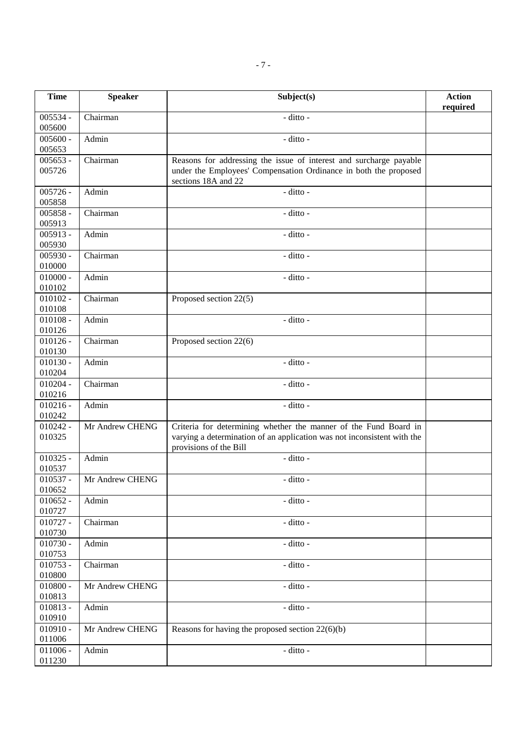| <b>Time</b>          | <b>Speaker</b>  | Subject(s)                                                                                                                                                            | <b>Action</b><br>required |
|----------------------|-----------------|-----------------------------------------------------------------------------------------------------------------------------------------------------------------------|---------------------------|
| $005534 -$<br>005600 | Chairman        | $-$ ditto $-$                                                                                                                                                         |                           |
| $005600 -$<br>005653 | Admin           | - ditto -                                                                                                                                                             |                           |
| $005653 -$<br>005726 | Chairman        | Reasons for addressing the issue of interest and surcharge payable<br>under the Employees' Compensation Ordinance in both the proposed<br>sections 18A and 22         |                           |
| $005726 -$<br>005858 | Admin           | - ditto -                                                                                                                                                             |                           |
| $005858 -$<br>005913 | Chairman        | - ditto -                                                                                                                                                             |                           |
| $005913 -$<br>005930 | Admin           | - ditto -                                                                                                                                                             |                           |
| $005930 -$<br>010000 | Chairman        | - ditto -                                                                                                                                                             |                           |
| $010000 -$<br>010102 | Admin           | - ditto -                                                                                                                                                             |                           |
| $010102 -$<br>010108 | Chairman        | Proposed section 22(5)                                                                                                                                                |                           |
| $010108 -$<br>010126 | Admin           | - ditto -                                                                                                                                                             |                           |
| $010126 -$<br>010130 | Chairman        | Proposed section 22(6)                                                                                                                                                |                           |
| $010130 -$<br>010204 | Admin           | - ditto -                                                                                                                                                             |                           |
| $010204 -$<br>010216 | Chairman        | - ditto -                                                                                                                                                             |                           |
| $010216 -$<br>010242 | Admin           | - ditto -                                                                                                                                                             |                           |
| $010242 -$<br>010325 | Mr Andrew CHENG | Criteria for determining whether the manner of the Fund Board in<br>varying a determination of an application was not inconsistent with the<br>provisions of the Bill |                           |
| $010325 -$<br>010537 | Admin           | - ditto -                                                                                                                                                             |                           |
| $010537 -$<br>010652 | Mr Andrew CHENG | - ditto -                                                                                                                                                             |                           |
| $010652 -$<br>010727 | Admin           | - ditto -                                                                                                                                                             |                           |
| $010727 -$<br>010730 | Chairman        | - ditto -                                                                                                                                                             |                           |
| $010730 -$<br>010753 | Admin           | - ditto -                                                                                                                                                             |                           |
| $010753 -$<br>010800 | Chairman        | - ditto -                                                                                                                                                             |                           |
| $010800 -$<br>010813 | Mr Andrew CHENG | - ditto -                                                                                                                                                             |                           |
| $010813 -$<br>010910 | Admin           | - ditto -                                                                                                                                                             |                           |
| $010910 -$<br>011006 | Mr Andrew CHENG | Reasons for having the proposed section $22(6)(b)$                                                                                                                    |                           |
| $011006 -$<br>011230 | Admin           | - ditto -                                                                                                                                                             |                           |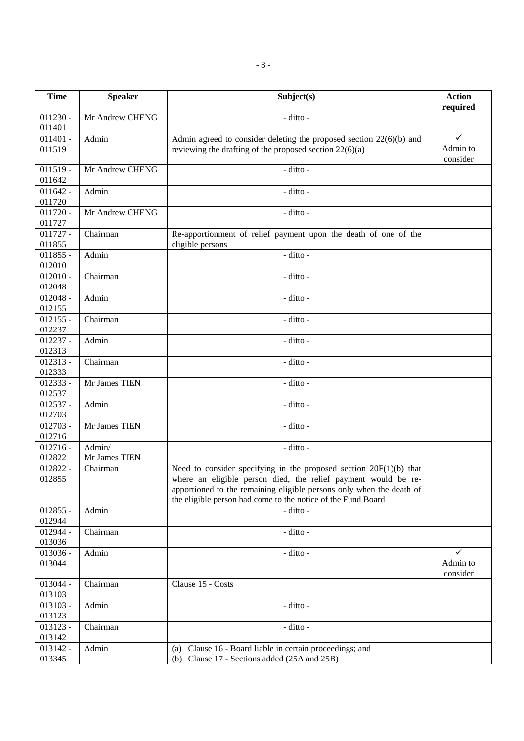| <b>Time</b>                      | <b>Speaker</b>          | Subject(s)                                                                                                                                                                                                                                                                     | <b>Action</b><br>required |
|----------------------------------|-------------------------|--------------------------------------------------------------------------------------------------------------------------------------------------------------------------------------------------------------------------------------------------------------------------------|---------------------------|
| $011230 -$<br>011401             | Mr Andrew CHENG         | $-$ ditto $-$                                                                                                                                                                                                                                                                  |                           |
| $011401 -$<br>011519             | Admin                   | Admin agreed to consider deleting the proposed section $22(6)(b)$ and<br>reviewing the drafting of the proposed section $22(6)(a)$                                                                                                                                             | ✓<br>Admin to<br>consider |
| $011519 -$<br>011642             | Mr Andrew CHENG         | - ditto -                                                                                                                                                                                                                                                                      |                           |
| $011642 -$<br>011720             | Admin                   | $-$ ditto $-$                                                                                                                                                                                                                                                                  |                           |
| $011720 -$<br>011727             | Mr Andrew CHENG         | - ditto -                                                                                                                                                                                                                                                                      |                           |
| $011727 -$<br>011855             | Chairman                | Re-apportionment of relief payment upon the death of one of the<br>eligible persons                                                                                                                                                                                            |                           |
| $011855 -$<br>012010             | Admin                   | - ditto -                                                                                                                                                                                                                                                                      |                           |
| $012010 -$<br>012048             | Chairman                | - ditto -                                                                                                                                                                                                                                                                      |                           |
| $012048 -$<br>012155             | Admin                   | - ditto -                                                                                                                                                                                                                                                                      |                           |
| $012155 -$<br>012237             | Chairman                | - ditto -                                                                                                                                                                                                                                                                      |                           |
| $012237 -$<br>012313             | Admin                   | - ditto -                                                                                                                                                                                                                                                                      |                           |
| $012313 -$<br>012333             | Chairman                | - ditto -                                                                                                                                                                                                                                                                      |                           |
| $012333 -$<br>012537             | Mr James TIEN           | - ditto -                                                                                                                                                                                                                                                                      |                           |
| $\overline{0}$ 12537 -<br>012703 | Admin                   | - ditto -                                                                                                                                                                                                                                                                      |                           |
| $012703 -$<br>012716             | Mr James TIEN           | - ditto -                                                                                                                                                                                                                                                                      |                           |
| $012716 -$<br>012822             | Admin/<br>Mr James TIEN | - ditto -                                                                                                                                                                                                                                                                      |                           |
| 012822 -<br>012855               | Chairman                | Need to consider specifying in the proposed section $20F(1)(b)$ that<br>where an eligible person died, the relief payment would be re-<br>apportioned to the remaining eligible persons only when the death of<br>the eligible person had come to the notice of the Fund Board |                           |
| $012855 -$<br>012944             | Admin                   | - ditto -                                                                                                                                                                                                                                                                      |                           |
| $012944 -$<br>013036             | Chairman                | - ditto -                                                                                                                                                                                                                                                                      |                           |
| $013036 -$<br>013044             | Admin                   | - ditto -                                                                                                                                                                                                                                                                      | ✓<br>Admin to<br>consider |
| 013044 -<br>013103               | Chairman                | Clause 15 - Costs                                                                                                                                                                                                                                                              |                           |
| 013103 -<br>013123               | Admin                   | - ditto -                                                                                                                                                                                                                                                                      |                           |
| 013123 -<br>013142               | Chairman                | - ditto -                                                                                                                                                                                                                                                                      |                           |
| 013142 -<br>013345               | Admin                   | (a) Clause 16 - Board liable in certain proceedings; and<br>(b) Clause 17 - Sections added (25A and 25B)                                                                                                                                                                       |                           |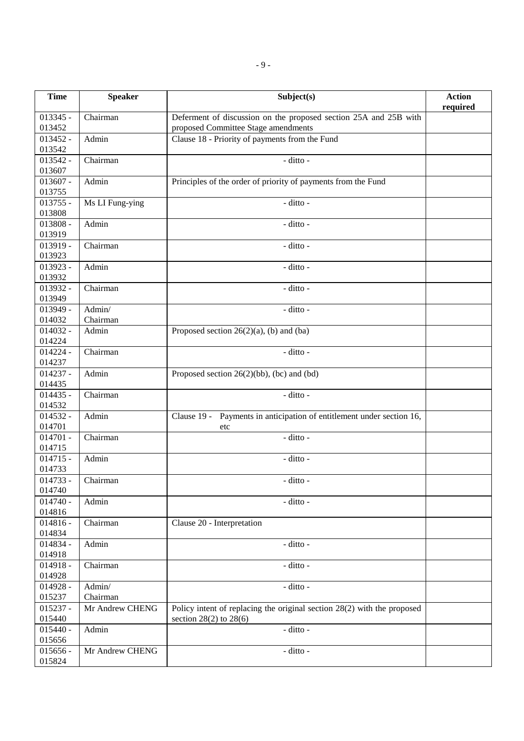| <b>Time</b>          | <b>Speaker</b>  | Subject(s)                                                                                              | <b>Action</b><br>required |
|----------------------|-----------------|---------------------------------------------------------------------------------------------------------|---------------------------|
| $013345 -$<br>013452 | Chairman        | Deferment of discussion on the proposed section 25A and 25B with<br>proposed Committee Stage amendments |                           |
| $013452 -$           | Admin           |                                                                                                         |                           |
| 013542               |                 | Clause 18 - Priority of payments from the Fund                                                          |                           |
| 013542 -             | Chairman        | - ditto -                                                                                               |                           |
| 013607               |                 |                                                                                                         |                           |
| $013607 -$           | Admin           | Principles of the order of priority of payments from the Fund                                           |                           |
| 013755               |                 |                                                                                                         |                           |
| $013755 -$           | Ms LI Fung-ying | - ditto -                                                                                               |                           |
| 013808               |                 |                                                                                                         |                           |
| 013808 -             | Admin           | - ditto -                                                                                               |                           |
| 013919               |                 |                                                                                                         |                           |
| 013919 -             | Chairman        | - ditto -                                                                                               |                           |
| 013923               |                 |                                                                                                         |                           |
| 013923 -             | Admin           | - ditto -                                                                                               |                           |
| 013932               |                 |                                                                                                         |                           |
| 013932 -             | Chairman        | - ditto -                                                                                               |                           |
| 013949               |                 |                                                                                                         |                           |
| 013949 -             | Admin/          | - ditto -                                                                                               |                           |
| 014032               | Chairman        |                                                                                                         |                           |
| $014032 -$           | Admin           | Proposed section $26(2)(a)$ , (b) and (ba)                                                              |                           |
| 014224               |                 |                                                                                                         |                           |
| $014224 -$           | Chairman        | - ditto -                                                                                               |                           |
| 014237               |                 |                                                                                                         |                           |
| $014237 -$           | Admin           | Proposed section $26(2)(bb)$ , (bc) and (bd)                                                            |                           |
| 014435               |                 |                                                                                                         |                           |
| $014435 -$           | Chairman        | - ditto -                                                                                               |                           |
| 014532               |                 |                                                                                                         |                           |
| $014532 -$           | Admin           | Clause 19 - Payments in anticipation of entitlement under section 16,                                   |                           |
| 014701               |                 | etc                                                                                                     |                           |
| $014701 -$           | Chairman        | - ditto -                                                                                               |                           |
| 014715               |                 |                                                                                                         |                           |
| $014715 -$           | Admin           | - ditto -                                                                                               |                           |
| 014733               |                 |                                                                                                         |                           |
| $014733 -$<br>014740 | Chairman        | - ditto -                                                                                               |                           |
| $014740 -$           | Admin           | - ditto -                                                                                               |                           |
| 014816               |                 |                                                                                                         |                           |
| $014816 -$           | Chairman        | Clause 20 - Interpretation                                                                              |                           |
| 014834               |                 |                                                                                                         |                           |
| 014834 -             | Admin           | - ditto -                                                                                               |                           |
| 014918               |                 |                                                                                                         |                           |
| $014918 -$           | Chairman        | - ditto -                                                                                               |                           |
| 014928               |                 |                                                                                                         |                           |
| $014928 -$           | Admin/          | - ditto -                                                                                               |                           |
| 015237               | Chairman        |                                                                                                         |                           |
| $015237 -$           | Mr Andrew CHENG | Policy intent of replacing the original section $28(2)$ with the proposed                               |                           |
| 015440               |                 | section $28(2)$ to $28(6)$                                                                              |                           |
| $015440 -$           | Admin           | - ditto -                                                                                               |                           |
| 015656               |                 |                                                                                                         |                           |
| $015656 -$           | Mr Andrew CHENG | - ditto -                                                                                               |                           |
| 015824               |                 |                                                                                                         |                           |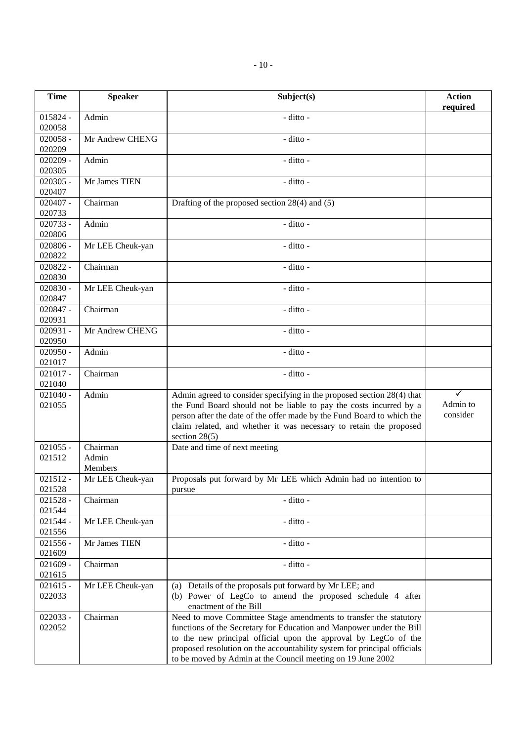| <b>Time</b>          | <b>Speaker</b>               | Subject(s)                                                                                                                                                                                                                                                                                                                                              | <b>Action</b><br>required |
|----------------------|------------------------------|---------------------------------------------------------------------------------------------------------------------------------------------------------------------------------------------------------------------------------------------------------------------------------------------------------------------------------------------------------|---------------------------|
| $015824 -$<br>020058 | Admin                        | - ditto -                                                                                                                                                                                                                                                                                                                                               |                           |
| $020058 -$<br>020209 | Mr Andrew CHENG              | - ditto -                                                                                                                                                                                                                                                                                                                                               |                           |
| $020209 -$<br>020305 | Admin                        | - ditto -                                                                                                                                                                                                                                                                                                                                               |                           |
| $020305 -$<br>020407 | Mr James TIEN                | - ditto -                                                                                                                                                                                                                                                                                                                                               |                           |
| $020407 -$<br>020733 | Chairman                     | Drafting of the proposed section $28(4)$ and $(5)$                                                                                                                                                                                                                                                                                                      |                           |
| $020733 -$<br>020806 | Admin                        | - ditto -                                                                                                                                                                                                                                                                                                                                               |                           |
| $020806 -$<br>020822 | Mr LEE Cheuk-yan             | - ditto -                                                                                                                                                                                                                                                                                                                                               |                           |
| $020822 -$<br>020830 | Chairman                     | - ditto -                                                                                                                                                                                                                                                                                                                                               |                           |
| $020830 -$<br>020847 | Mr LEE Cheuk-yan             | - ditto -                                                                                                                                                                                                                                                                                                                                               |                           |
| $020847 -$<br>020931 | Chairman                     | - ditto -                                                                                                                                                                                                                                                                                                                                               |                           |
| $020931 -$<br>020950 | Mr Andrew CHENG              | - ditto -                                                                                                                                                                                                                                                                                                                                               |                           |
| $020950 -$<br>021017 | Admin                        | - ditto -                                                                                                                                                                                                                                                                                                                                               |                           |
| $021017 -$<br>021040 | Chairman                     | - ditto -                                                                                                                                                                                                                                                                                                                                               |                           |
| $021040 -$<br>021055 | Admin                        | Admin agreed to consider specifying in the proposed section 28(4) that<br>the Fund Board should not be liable to pay the costs incurred by a<br>person after the date of the offer made by the Fund Board to which the<br>claim related, and whether it was necessary to retain the proposed<br>section $28(5)$                                         | ✓<br>Admin to<br>consider |
| $021055 -$<br>021512 | Chairman<br>Admin<br>Members | Date and time of next meeting                                                                                                                                                                                                                                                                                                                           |                           |
| $021512 -$<br>021528 | Mr LEE Cheuk-yan             | Proposals put forward by Mr LEE which Admin had no intention to<br>pursue                                                                                                                                                                                                                                                                               |                           |
| $021528 -$<br>021544 | Chairman                     | - ditto -                                                                                                                                                                                                                                                                                                                                               |                           |
| $021544 -$<br>021556 | Mr LEE Cheuk-yan             | - ditto -                                                                                                                                                                                                                                                                                                                                               |                           |
| $021556 -$<br>021609 | Mr James TIEN                | - ditto -                                                                                                                                                                                                                                                                                                                                               |                           |
| $021609 -$<br>021615 | Chairman                     | - ditto -                                                                                                                                                                                                                                                                                                                                               |                           |
| $021615 -$<br>022033 | Mr LEE Cheuk-yan             | (a) Details of the proposals put forward by Mr LEE; and<br>(b) Power of LegCo to amend the proposed schedule 4 after<br>enactment of the Bill                                                                                                                                                                                                           |                           |
| 022033 -<br>022052   | Chairman                     | Need to move Committee Stage amendments to transfer the statutory<br>functions of the Secretary for Education and Manpower under the Bill<br>to the new principal official upon the approval by LegCo of the<br>proposed resolution on the accountability system for principal officials<br>to be moved by Admin at the Council meeting on 19 June 2002 |                           |